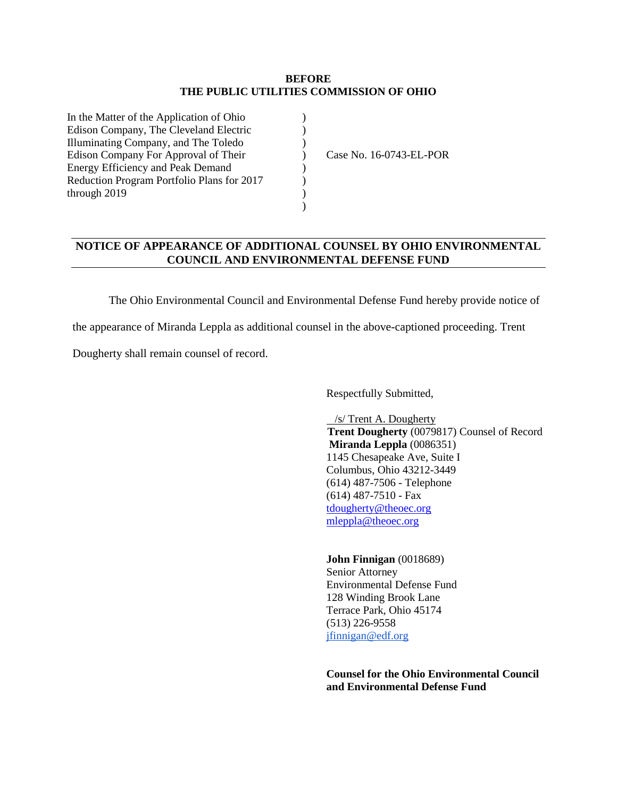#### **BEFORE THE PUBLIC UTILITIES COMMISSION OF OHIO**

)  $\mathcal{L}$ )  $\overline{)}$  $\mathcal{L}$ ) ) )

| In the Matter of the Application of Ohio   |
|--------------------------------------------|
| Edison Company, The Cleveland Electric     |
| Illuminating Company, and The Toledo       |
| Edison Company For Approval of Their       |
| <b>Energy Efficiency and Peak Demand</b>   |
| Reduction Program Portfolio Plans for 2017 |
| through 2019                               |
|                                            |

Case No. 16-0743-EL-POR

### **NOTICE OF APPEARANCE OF ADDITIONAL COUNSEL BY OHIO ENVIRONMENTAL COUNCIL AND ENVIRONMENTAL DEFENSE FUND**

The Ohio Environmental Council and Environmental Defense Fund hereby provide notice of

the appearance of Miranda Leppla as additional counsel in the above-captioned proceeding. Trent

Dougherty shall remain counsel of record.

Respectfully Submitted,

 /s/ Trent A. Dougherty **Trent Dougherty** (0079817) Counsel of Record **Miranda Leppla** (0086351) 1145 Chesapeake Ave, Suite I Columbus, Ohio 43212-3449 (614) 487-7506 - Telephone (614) 487-7510 - Fax [tdougherty@theoec.org](mailto:tdougherty@theoec.org) [mleppla@theoec.org](mailto:mleppla@theoec.org)

### **John Finnigan** (0018689) Senior Attorney Environmental Defense Fund 128 Winding Brook Lane Terrace Park, Ohio 45174 (513) 226-9558

[jfinnigan@edf.org](mailto:jfinnigan@edf.org)

**Counsel for the Ohio Environmental Council and Environmental Defense Fund**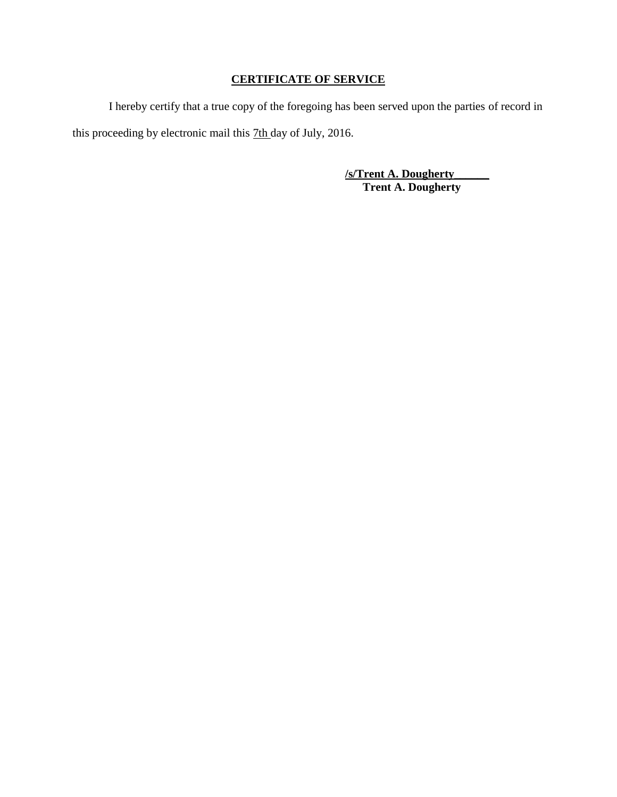# **CERTIFICATE OF SERVICE**

I hereby certify that a true copy of the foregoing has been served upon the parties of record in this proceeding by electronic mail this 7th day of July, 2016.

> **/s/Trent A. Dougherty\_\_\_\_\_\_ Trent A. Dougherty**